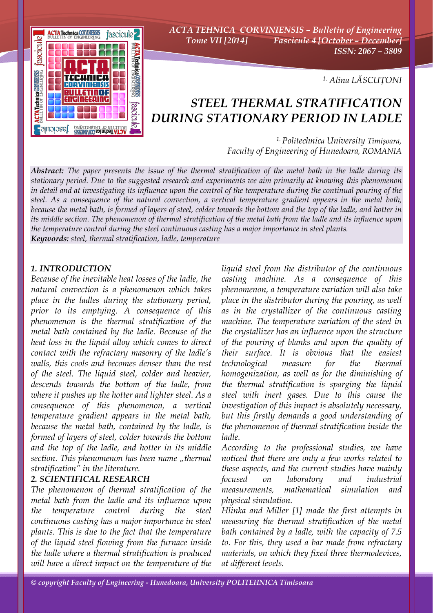

*ACTA TEHNICA CORVINIENSIS – Bulletin of Engineering Tome VII [2014] Fascicule 4 [October – December] ISSN: 2067 – 3809* 

*1. Alina LĂSCUŢONI*

# *STEEL THERMAL STRATIFICATION DURING STATIONARY PERIOD IN LADLE*

*1. Politechnica University Timișoara, Faculty of Engineering of Hunedoara, ROMANIA*

*Abstract: The paper presents the issue of the thermal stratification of the metal bath in the ladle during its stationary period. Due to the suggested research and experiments we aim primarily at knowing this phenomenon in detail and at investigating its influence upon the control of the temperature during the continual pouring of the steel. As a consequence of the natural convection, a vertical temperature gradient appears in the metal bath, because the metal bath, is formed of layers of steel, colder towards the bottom and the top of the ladle, and hotter in its middle section. The phenomenon of thermal stratification of the metal bath from the ladle and its influence upon the temperature control during the steel continuous casting has a major importance in steel plants. Keywords: steel, thermal stratification, ladle, temperature*

# *1. INTRODUCTION*

*Because of the inevitable heat losses of the ladle, the natural convection is a phenomenon which takes place in the ladles during the stationary period, prior to its emptying. A consequence of this phenomenon is the thermal stratification of the metal bath contained by the ladle. Because of the heat loss in the liquid alloy which comes to direct contact with the refractary masonry of the ladle's walls, this cools and becomes denser than the rest of the steel. The liquid steel, colder and heavier, descends towards the bottom of the ladle, from where it pushes up the hotter and lighter steel. As a consequence of this phenomenon, a vertical temperature gradient appears in the metal bath, because the metal bath, contained by the ladle, is formed of layers of steel, colder towards the bottom and the top of the ladle, and hotter in its middle*  section. This phenomenon has been name "thermal *stratification" in the literature.* 

# *2. SCIENTIFICAL RESEARCH*

*The phenomenon of thermal stratification of the metal bath from the ladle and its influence upon the temperature control during the steel continuous casting has a major importance in steel plants. This is due to the fact that the temperature of the liquid steel flowing from the furnace inside the ladle where a thermal stratification is produced will have a direct impact on the temperature of the* 

*liquid steel from the distributor of the continuous casting machine. As a consequence of this phenomenon, a temperature variation will also take place in the distributor during the pouring, as well as in the crystallizer of the continuous casting machine. The temperature variation of the steel in the crystallizer has an influence upon the structure of the pouring of blanks and upon the quality of their surface. It is obvious that the easiest technological measure for the thermal homogenization, as well as for the diminishing of the thermal stratification is sparging the liquid steel with inert gases. Due to this cause the investigation of this impact is absolutely necessary, but this firstly demands a good understanding of the phenomenon of thermal stratification inside the ladle.* 

*According to the professional studies, we have noticed that there are only a few works related to these aspects, and the current studies have mainly focused on laboratory and industrial measurements, mathematical simulation and physical simulation.* 

*Hlinka and Miller [1] made the first attempts in measuring the thermal stratification of the metal bath contained by a ladle, with the capacity of 7.5 to. For this, they used a bar made from refractary materials, on which they fixed three thermodevices, at different levels.*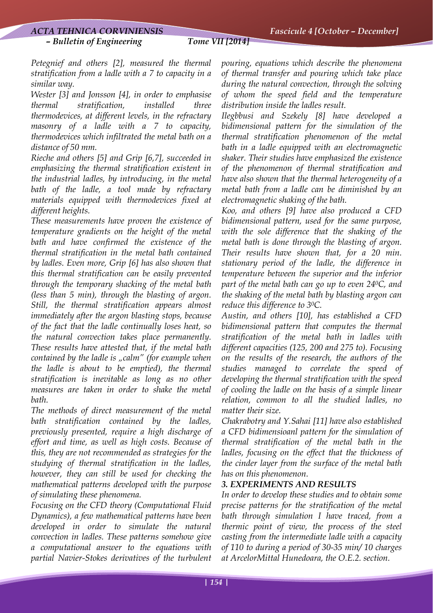#### *– Bulletin of Engineering Tome VII [2014]*

*Petegnief and others [2], measured the thermal stratification from a ladle with a 7 to capacity in a similar way.* 

*Wester [3] and Jonsson [4], in order to emphasise thermal stratification, installed three thermodevices, at different levels, in the refractary masonry of a ladle with a 7 to capacity, thermodevices which infiltrated the metal bath on a distance of 50 mm.* 

*Rieche and others [5] and Grip [6,7], succeeded in emphasizing the thermal stratification existent in the industrial ladles, by introducing, in the metal bath of the ladle, a tool made by refractary materials equipped with thermodevices fixed at different heights.* 

*These measurements have proven the existence of temperature gradients on the height of the metal bath and have confirmed the existence of the thermal stratification in the metal bath contained by ladles. Even more, Grip [6] has also shown that this thermal stratification can be easily prevented through the temporary shacking of the metal bath (less than 5 min), through the blasting of argon. Still, the thermal stratification appears almost immediately after the argon blasting stops, because of the fact that the ladle continually loses heat, so the natural convection takes place permanently. These results have attested that, if the metal bath contained by the ladle is "calm" (for example when the ladle is about to be emptied), the thermal stratification is inevitable as long as no other measures are taken in order to shake the metal bath.* 

*The methods of direct measurement of the metal bath stratification contained by the ladles, previously presented, require a high discharge of effort and time, as well as high costs. Because of this, they are not recommended as strategies for the studying of thermal stratification in the ladles, however, they can still be used for checking the mathematical patterns developed with the purpose of simulating these phenomena.* 

*Focusing on the CFD theory (Computational Fluid Dynamics), a few mathematical patterns have been developed in order to simulate the natural convection in ladles. These patterns somehow give a computational answer to the equations with partial Navier-Stokes derivatives of the turbulent* 

*pouring, equations which describe the phenomena of thermal transfer and pouring which take place during the natural convection, through the solving of whom the speed field and the temperature distribution inside the ladles result.* 

*Ilegbbusi and Szekely [8] have developed a bidimensional pattern for the simulation of the thermal stratification phenomenon of the metal bath in a ladle equipped with an electromagnetic shaker. Their studies have emphasized the existence of the phenomenon of thermal stratification and have also shown that the thermal heterogeneity of a metal bath from a ladle can be diminished by an electromagnetic shaking of the bath.* 

*Koo, and others [9] have also produced a CFD bidimensional pattern, used for the same purpose, with the sole difference that the shaking of the metal bath is done through the blasting of argon. Their results have shown that, for a 20 min. stationary period of the ladle, the difference in temperature between the superior and the inferior part of the metal bath can go up to even 240C, and the shaking of the metal bath by blasting argon can reduce this difference to 30C.* 

*Austin, and others [10], has established a CFD bidimensional pattern that computes the thermal stratification of the metal bath in ladles with different capacities (125, 200 and 275 to). Focusing on the results of the research, the authors of the studies managed to correlate the speed of developing the thermal stratification with the speed of cooling the ladle on the basis of a simple linear relation, common to all the studied ladles, no matter their size.* 

*Chakrabotry and Y.Sahai [11] have also established a CFD bidimensioanl pattern for the simulation of thermal stratification of the metal bath in the ladles, focusing on the effect that the thickness of the cinder layer from the surface of the metal bath has on this phenomenon.* 

# *3. EXPERIMENTS AND RESULTS*

*In order to develop these studies and to obtain some precise patterns for the stratification of the metal bath through simulation I have traced, from a thermic point of view, the process of the steel casting from the intermediate ladle with a capacity of 110 to during a period of 30-35 min/ 10 charges at ArcelorMittal Hunedoara, the O.E.2. section.*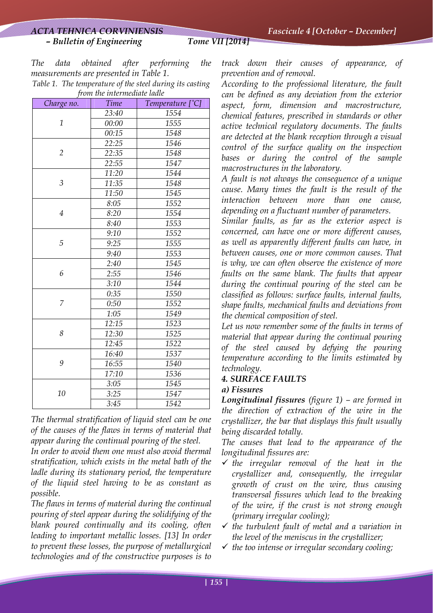*– Bulletin of Engineering Tome VII [2014]* 

*The data obtained after performing the measurements are presented in Table 1.* 

*Table 1. The temperature of the steel during its casting from the intermediate ladle* 

| Charge no.     | <b>Time</b> | Temperature $[^{\circ}C]$ |
|----------------|-------------|---------------------------|
| $\mathbf{1}$   | 23:40       | 1554                      |
|                | 00:00       | 1555                      |
|                | 00:15       | 1548                      |
| $\overline{2}$ | 22:25       | 1546                      |
|                | 22:35       | 1548                      |
|                | 22:55       | 1547                      |
| 3              | 11:20       | 1544                      |
|                | 11:35       | 1548                      |
|                | 11:50       | 1545                      |
| $\overline{4}$ | 8:05        | 1552                      |
|                | 8:20        | 1554                      |
|                | 8:40        | 1553                      |
| 5              | 9:10        | 1552                      |
|                | 9:25        | 1555                      |
|                | 9:40        | 1553                      |
| 6              | 2:40        | 1545                      |
|                | 2:55        | 1546                      |
|                | 3:10        | 1544                      |
| 7              | 0:35        | 1550                      |
|                | 0:50        | 1552                      |
|                | 1:05        | 1549                      |
| 8              | 12:15       | 1523                      |
|                | 12:30       | 1525                      |
|                | 12:45       | 1522                      |
| 9              | 16:40       | 1537                      |
|                | 16:55       | 1540                      |
|                | 17:10       | 1536                      |
| 10             | 3:05        | 1545                      |
|                | 3:25        | 1547                      |
|                | 3:45        | 1542                      |

*The thermal stratification of liquid steel can be one of the causes of the flaws in terms of material that appear during the continual pouring of the steel.* 

*In order to avoid them one must also avoid thermal stratification, which exists in the metal bath of the ladle during its stationary period, the temperature of the liquid steel having to be as constant as possible.* 

*The flaws in terms of material during the continual pouring of steel appear during the solidifying of the blank poured continually and its cooling, often leading to important metallic losses. [13] In order to prevent these losses, the purpose of metallurgical technologies and of the constructive purposes is to* 

*track down their causes of appearance, of prevention and of removal.* 

*According to the professional literature, the fault can be defined as any deviation from the exterior aspect, form, dimension and macrostructure, chemical features, prescribed in standards or other active technical regulatory documents. The faults are detected at the blank reception through a visual control of the surface quality on the inspection bases or during the control of the sample macrostructures in the laboratory.* 

*A fault is not always the consequence of a unique cause. Many times the fault is the result of the interaction between more than one cause, depending on a fluctuant number of parameters.* 

*Similar faults, as far as the exterior aspect is concerned, can have one or more different causes, as well as apparently different faults can have, in between causes, one or more common causes. That is why, we can often observe the existence of more faults on the same blank. The faults that appear during the continual pouring of the steel can be classified as follows: surface faults, internal faults, shape faults, mechanical faults and deviations from the chemical composition of steel.* 

*Let us now remember some of the faults in terms of material that appear during the continual pouring of the steel caused by defying the pouring temperature according to the limits estimated by technology.* 

# *4. SURFACE FAULTS*

# *a) Fissures*

*Longitudinal fissures (figure 1) – are formed in the direction of extraction of the wire in the crystallizer, the bar that displays this fault usually being discarded totally.* 

*The causes that lead to the appearance of the longitudinal fissures are:* 

- 9 *the irregular removal of the heat in the crystallizer and, consequently, the irregular growth of crust on the wire, thus causing transversal fissures which lead to the breaking of the wire, if the crust is not strong enough (primary irregular cooling);*
- $\checkmark$  the turbulent fault of metal and a variation in *the level of the meniscus in the crystallizer;*
- 9 *the too intense or irregular secondary cooling;*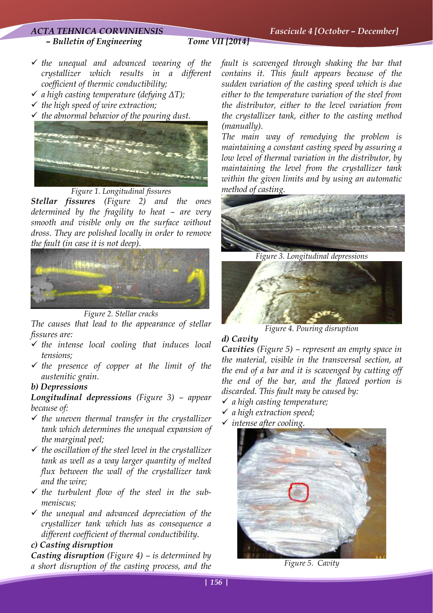#### *ACTA TEHNICA CORVINIENSIS Fascicule 4 [October – December]*

#### *– Bulletin of Engineering Tome VII [2014]*

- 9 *the unequal and advanced wearing of the crystallizer which results in a different coefficient of thermic conductibility;*
- 9 *a high casting temperature (defying ΔT);*
- 9 *the high speed of wire extraction;*
- 9 *the abnormal behavior of the pouring dust.*



*Figure 1. Longitudinal fissures* 

*Stellar fissures (Figure 2) and the ones determined by the fragility to heat – are very smooth and visible only on the surface without dross. They are polished locally in order to remove the fault (in case it is not deep).* 



*Figure 2. Stellar cracks* 

*The causes that lead to the appearance of stellar fissures are:* 

- 9 *the intense local cooling that induces local tensions;*
- 9 *the presence of copper at the limit of the austenitic grain.*

#### *b) Depressions*

*Longitudinal depressions (Figure 3) – appear because of:* 

- 9 *the uneven thermal transfer in the crystallizer tank which determines the unequal expansion of the marginal peel;*
- 9 *the oscillation of the steel level in the crystallizer tank as well as a way larger quantity of melted flux between the wall of the crystallizer tank and the wire;*
- 9 *the turbulent flow of the steel in the submeniscus;*
- 9 *the unequal and advanced depreciation of the crystallizer tank which has as consequence a different coefficient of thermal conductibility.*

#### *c) Casting disruption*

*Casting disruption (Figure 4) – is determined by a short disruption of the casting process, and the* 

*fault is scavenged through shaking the bar that contains it. This fault appears because of the sudden variation of the casting speed which is due either to the temperature variation of the steel from the distributor, either to the level variation from the crystallizer tank, either to the casting method (manually).* 

*The main way of remedying the problem is maintaining a constant casting speed by assuring a low level of thermal variation in the distributor, by maintaining the level from the crystallizer tank within the given limits and by using an automatic method of casting.* 



*Figure 3. Longitudinal depressions* 



*Figure 4. Pouring disruption* 

#### *d) Cavity*

*Cavities (Figure 5) – represent an empty space in the material, visible in the transversal section, at the end of a bar and it is scavenged by cutting off the end of the bar, and the flawed portion is discarded. This fault may be caused by:* 

- 9 *a high casting temperature;*
- 9 *a high extraction speed;*
- 9 *intense after cooling.*



 *Figure 5. Cavity*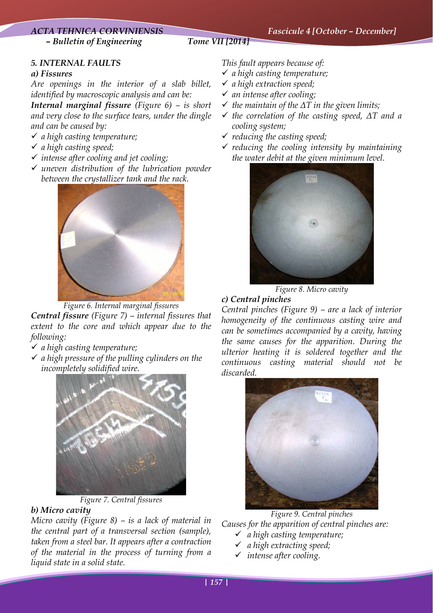# *ACTA TEHNICA CORVINIENSIS Fascicule 4 [October – December] – Bulletin of Engineering Tome VII [2014]*

# *5. INTERNAL FAULTS*

#### *a) Fissures*

*Are openings in the interior of a slab billet, identified by macroscopic analysis and can be:* 

*Internal marginal fissure (Figure 6) – is short and very close to the surface tears, under the dingle and can be caused by:* 

- 9 *a high casting temperature;*
- 9 *a high casting speed;*
- 9 *intense after cooling and jet cooling;*
- 9 *uneven distribution of the lubrication powder between the crystallizer tank and the rack.*



*Figure 6. Internal marginal fissures* 

*Central fissure (Figure 7) – internal fissures that extent to the core and which appear due to the following:* 

- 9 *a high casting temperature;*
- 9 *a high pressure of the pulling cylinders on the incompletely solidified wire.*





# *b) Micro cavity*

*Micro cavity (Figure 8) – is a lack of material in the central part of a transversal section (sample), taken from a steel bar. It appears after a contraction of the material in the process of turning from a liquid state in a solid state.* 

*This fault appears because of:* 

- 9 *a high casting temperature;*
- 9 *a high extraction speed;*
- 9 *an intense after cooling;*
- 9 *the maintain of the ΔT in the given limits;*
- 9 *the correlation of the casting speed, ΔT and a cooling system;*
- 9 *reducing the casting speed;*
- 9 *reducing the cooling intensity by maintaining the water debit at the given minimum level.*



*Figure 8. Micro cavity* 

# *c) Central pinches*

*Central pinches (Figure 9) – are a lack of interior homogeneity of the continuous casting wire and can be sometimes accompanied by a cavity, having the same causes for the apparition. During the ulterior heating it is soldered together and the continuous casting material should not be discarded.* 



*Figure 9. Central pinches Causes for the apparition of central pinches are:*  9 *a high casting temperature;* 

- 9 *a high extracting speed;*
- 9 *intense after cooling.*